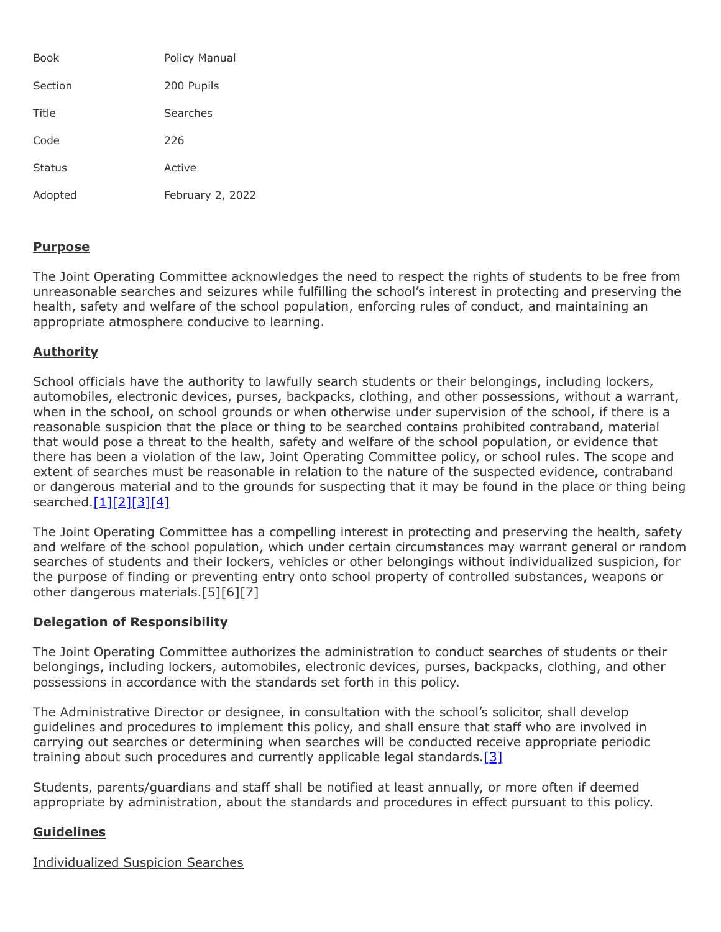| Book          | Policy Manual    |
|---------------|------------------|
| Section       | 200 Pupils       |
| Title         | Searches         |
| Code          | 226              |
| <b>Status</b> | Active           |
| Adopted       | February 2, 2022 |

## **Purpose**

The Joint Operating Committee acknowledges the need to respect the rights of students to be free from unreasonable searches and seizures while fulfilling the school's interest in protecting and preserving the health, safety and welfare of the school population, enforcing rules of conduct, and maintaining an appropriate atmosphere conducive to learning.

## **Authority**

School officials have the authority to lawfully search students or their belongings, including lockers, automobiles, electronic devices, purses, backpacks, clothing, and other possessions, without a warrant, when in the school, on school grounds or when otherwise under supervision of the school, if there is a reasonable suspicion that the place or thing to be searched contains prohibited contraband, material that would pose a threat to the health, safety and welfare of the school population, or evidence that there has been a violation of the law, Joint Operating Committee policy, or school rules. The scope and extent of searches must be reasonable in relation to the nature of the suspected evidence, contraband or dangerous material and to the grounds for suspecting that it may be found in the place or thing being searched[.\[1\]](http://www.legis.state.pa.us/cfdocs/legis/LI/consCheck.cfm?txtType=HTM&ttl=00&div=0&chpt=1&sctn=8&subsctn=0)[\[2\]](http://www.legis.state.pa.us/cfdocs/legis/LI/uconsCheck.cfm?txtType=HTM&yr=1949&sessInd=0&smthLwInd=0&act=14&chpt=18&sctn=50&subsctn=1)[\[3\]](http://pacodeandbulletin.gov/Display/pacode?file=/secure/pacode/data/022/chapter12/s12.14.html&d=reduce)[\[4\]](http://www.law.cornell.edu/constitution/fourth_amendment)

The Joint Operating Committee has a compelling interest in protecting and preserving the health, safety and welfare of the school population, which under certain circumstances may warrant general or random searches of students and their lockers, vehicles or other belongings without individualized suspicion, for the purpose of finding or preventing entry onto school property of controlled substances, weapons or other dangerous materials.[5][6][7]

## **Delegation of Responsibility**

The Joint Operating Committee authorizes the administration to conduct searches of students or their belongings, including lockers, automobiles, electronic devices, purses, backpacks, clothing, and other possessions in accordance with the standards set forth in this policy.

The Administrative Director or designee, in consultation with the school's solicitor, shall develop guidelines and procedures to implement this policy, and shall ensure that staff who are involved in carrying out searches or determining when searches will be conducted receive appropriate periodic training about such procedures and currently applicable legal standards.<sup>[\[3\]](http://pacodeandbulletin.gov/Display/pacode?file=/secure/pacode/data/022/chapter12/s12.14.html&d=reduce)</sup>

Students, parents/guardians and staff shall be notified at least annually, or more often if deemed appropriate by administration, about the standards and procedures in effect pursuant to this policy.

## **Guidelines**

Individualized Suspicion Searches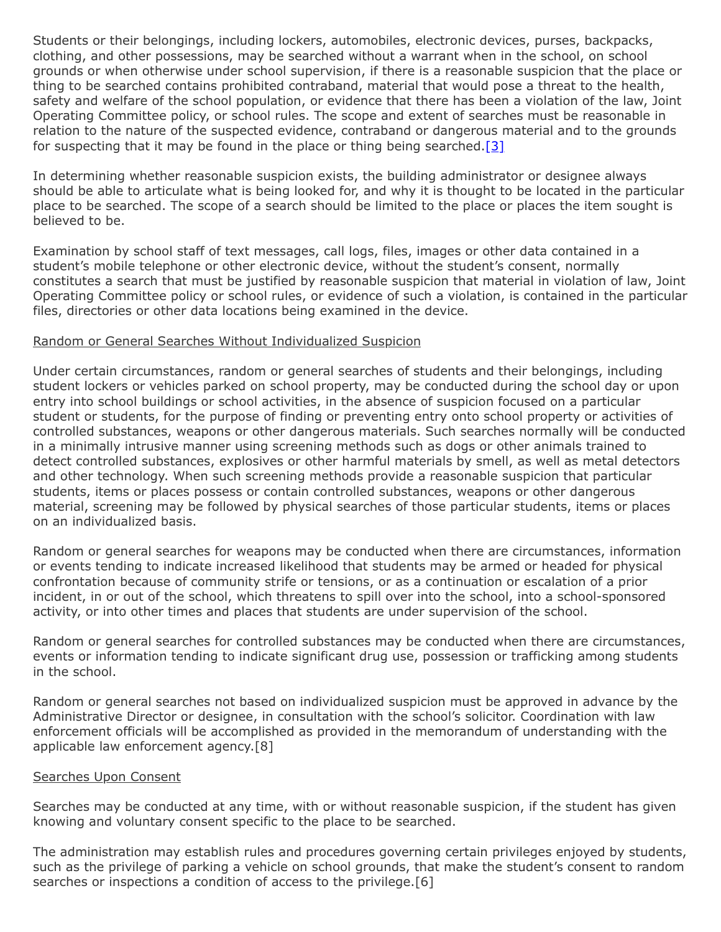Students or their belongings, including lockers, automobiles, electronic devices, purses, backpacks, clothing, and other possessions, may be searched without a warrant when in the school, on school grounds or when otherwise under school supervision, if there is a reasonable suspicion that the place or thing to be searched contains prohibited contraband, material that would pose a threat to the health, safety and welfare of the school population, or evidence that there has been a violation of the law, Joint Operating Committee policy, or school rules. The scope and extent of searches must be reasonable in relation to the nature of the suspected evidence, contraband or dangerous material and to the grounds for suspecting that it may be found in the place or thing being searched[.\[3\]](http://pacodeandbulletin.gov/Display/pacode?file=/secure/pacode/data/022/chapter12/s12.14.html&d=reduce)

In determining whether reasonable suspicion exists, the building administrator or designee always should be able to articulate what is being looked for, and why it is thought to be located in the particular place to be searched. The scope of a search should be limited to the place or places the item sought is believed to be.

Examination by school staff of text messages, call logs, files, images or other data contained in a student's mobile telephone or other electronic device, without the student's consent, normally constitutes a search that must be justified by reasonable suspicion that material in violation of law, Joint Operating Committee policy or school rules, or evidence of such a violation, is contained in the particular files, directories or other data locations being examined in the device.

#### Random or General Searches Without Individualized Suspicion

Under certain circumstances, random or general searches of students and their belongings, including student lockers or vehicles parked on school property, may be conducted during the school day or upon entry into school buildings or school activities, in the absence of suspicion focused on a particular student or students, for the purpose of finding or preventing entry onto school property or activities of controlled substances, weapons or other dangerous materials. Such searches normally will be conducted in a minimally intrusive manner using screening methods such as dogs or other animals trained to detect controlled substances, explosives or other harmful materials by smell, as well as metal detectors and other technology. When such screening methods provide a reasonable suspicion that particular students, items or places possess or contain controlled substances, weapons or other dangerous material, screening may be followed by physical searches of those particular students, items or places on an individualized basis.

Random or general searches for weapons may be conducted when there are circumstances, information or events tending to indicate increased likelihood that students may be armed or headed for physical confrontation because of community strife or tensions, or as a continuation or escalation of a prior incident, in or out of the school, which threatens to spill over into the school, into a school-sponsored activity, or into other times and places that students are under supervision of the school.

Random or general searches for controlled substances may be conducted when there are circumstances, events or information tending to indicate significant drug use, possession or trafficking among students in the school.

Random or general searches not based on individualized suspicion must be approved in advance by the Administrative Director or designee, in consultation with the school's solicitor. Coordination with law enforcement officials will be accomplished as provided in the memorandum of understanding with the applicable law enforcement agency.[8]

## Searches Upon Consent

Searches may be conducted at any time, with or without reasonable suspicion, if the student has given knowing and voluntary consent specific to the place to be searched.

The administration may establish rules and procedures governing certain privileges enjoyed by students, such as the privilege of parking a vehicle on school grounds, that make the student's consent to random searches or inspections a condition of access to the privilege.[6]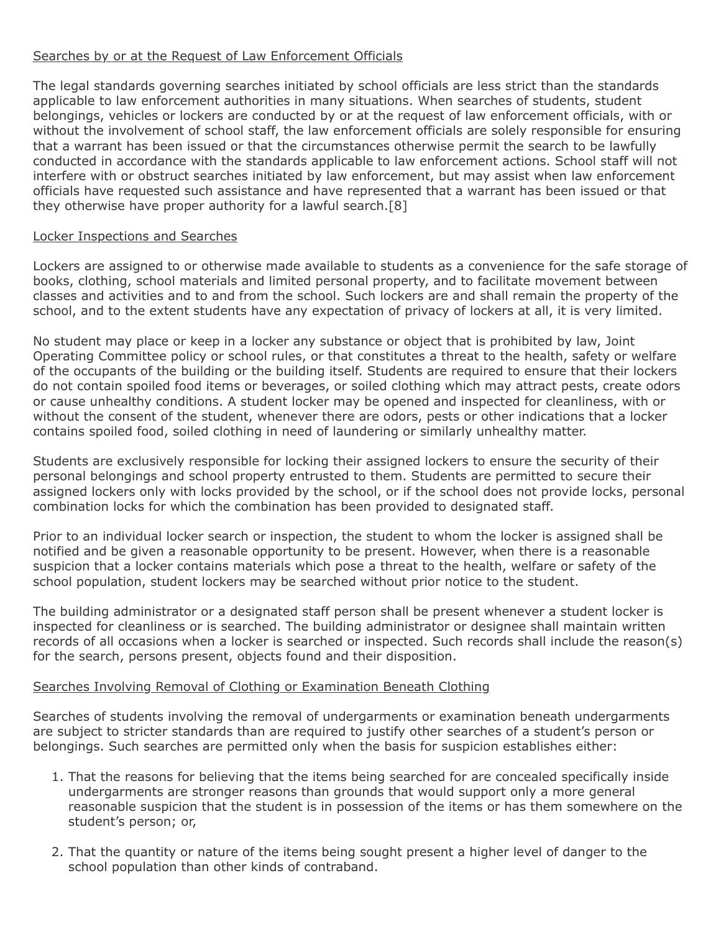# Searches by or at the Request of Law Enforcement Officials

The legal standards governing searches initiated by school officials are less strict than the standards applicable to law enforcement authorities in many situations. When searches of students, student belongings, vehicles or lockers are conducted by or at the request of law enforcement officials, with or without the involvement of school staff, the law enforcement officials are solely responsible for ensuring that a warrant has been issued or that the circumstances otherwise permit the search to be lawfully conducted in accordance with the standards applicable to law enforcement actions. School staff will not interfere with or obstruct searches initiated by law enforcement, but may assist when law enforcement officials have requested such assistance and have represented that a warrant has been issued or that they otherwise have proper authority for a lawful search.[8]

## Locker Inspections and Searches

Lockers are assigned to or otherwise made available to students as a convenience for the safe storage of books, clothing, school materials and limited personal property, and to facilitate movement between classes and activities and to and from the school. Such lockers are and shall remain the property of the school, and to the extent students have any expectation of privacy of lockers at all, it is very limited.

No student may place or keep in a locker any substance or object that is prohibited by law, Joint Operating Committee policy or school rules, or that constitutes a threat to the health, safety or welfare of the occupants of the building or the building itself. Students are required to ensure that their lockers do not contain spoiled food items or beverages, or soiled clothing which may attract pests, create odors or cause unhealthy conditions. A student locker may be opened and inspected for cleanliness, with or without the consent of the student, whenever there are odors, pests or other indications that a locker contains spoiled food, soiled clothing in need of laundering or similarly unhealthy matter.

Students are exclusively responsible for locking their assigned lockers to ensure the security of their personal belongings and school property entrusted to them. Students are permitted to secure their assigned lockers only with locks provided by the school, or if the school does not provide locks, personal combination locks for which the combination has been provided to designated staff.

Prior to an individual locker search or inspection, the student to whom the locker is assigned shall be notified and be given a reasonable opportunity to be present. However, when there is a reasonable suspicion that a locker contains materials which pose a threat to the health, welfare or safety of the school population, student lockers may be searched without prior notice to the student.

The building administrator or a designated staff person shall be present whenever a student locker is inspected for cleanliness or is searched. The building administrator or designee shall maintain written records of all occasions when a locker is searched or inspected. Such records shall include the reason(s) for the search, persons present, objects found and their disposition.

## Searches Involving Removal of Clothing or Examination Beneath Clothing

Searches of students involving the removal of undergarments or examination beneath undergarments are subject to stricter standards than are required to justify other searches of a student's person or belongings. Such searches are permitted only when the basis for suspicion establishes either:

- 1. That the reasons for believing that the items being searched for are concealed specifically inside undergarments are stronger reasons than grounds that would support only a more general reasonable suspicion that the student is in possession of the items or has them somewhere on the student's person; or,
- 2. That the quantity or nature of the items being sought present a higher level of danger to the school population than other kinds of contraband.